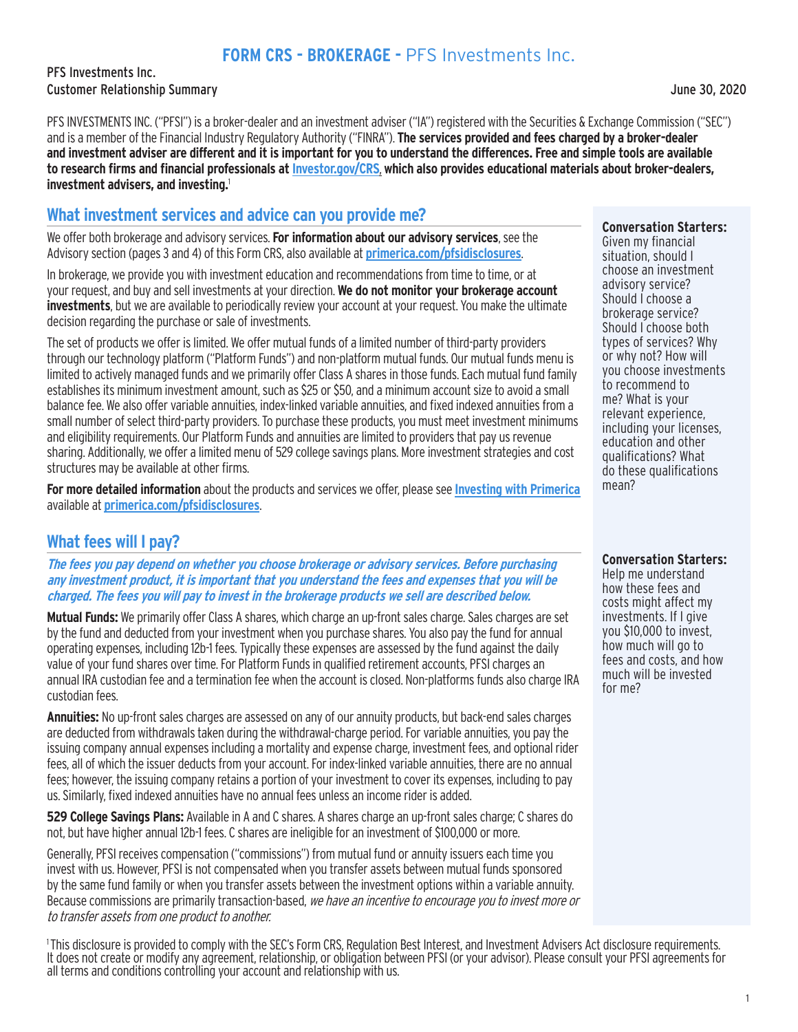# **FORM CRS - BROKERAGE -** PFS Investments Inc.

PFS Investments Inc. Customer Relationship Summary June 30, 2020

PFS INVESTMENTS INC. ("PFSI") is a broker-dealer and an investment adviser ("IA") registered with the Securities & Exchange Commission ("SEC") and is a member of the Financial Industry Regulatory Authority ("FINRA"). **The services provided and fees charged by a broker-dealer and investment adviser are different and it is important for you to understand the differences. Free and simple tools are available to research firms and financial professionals at Investor.gov/CRS**, **which also provides educational materials about broker-dealers, investment advisers, and investing.**<sup>1</sup>

### **What investment services and advice can you provide me?**

We offer both brokerage and advisory services. **For information about our advisory services**, see the Advisory section (pages 3 and 4) of this Form CRS, also available at **primerica.com/pfsidisclosures**.

In brokerage, we provide you with investment education and recommendations from time to time, or at your request, and buy and sell investments at your direction. **We do not monitor your brokerage account investments**, but we are available to periodically review your account at your request. You make the ultimate decision regarding the purchase or sale of investments.

The set of products we offer is limited. We offer mutual funds of a limited number of third-party providers through our technology platform ("Platform Funds") and non-platform mutual funds. Our mutual funds menu is limited to actively managed funds and we primarily offer Class A shares in those funds. Each mutual fund family establishes its minimum investment amount, such as \$25 or \$50, and a minimum account size to avoid a small balance fee. We also offer variable annuities, index-linked variable annuities, and fixed indexed annuities from a small number of select third-party providers. To purchase these products, you must meet investment minimums and eligibility requirements. Our Platform Funds and annuities are limited to providers that pay us revenue sharing. Additionally, we offer a limited menu of 529 college savings plans. More investment strategies and cost structures may be available at other firms.

**For more detailed information** about the products and services we offer, please see **Investing with Primerica** available at **primerica.com/pfsidisclosures**.

## **What fees will I pay?**

**The fees you pay depend on whether you choose brokerage or advisory services. Before purchasing any investment product, it is important that you understand the fees and expenses that you will be charged. The fees you will pay to invest in the brokerage products we sell are described below.**

**Mutual Funds:** We primarily offer Class A shares, which charge an up-front sales charge. Sales charges are set by the fund and deducted from your investment when you purchase shares. You also pay the fund for annual operating expenses, including 12b-1 fees. Typically these expenses are assessed by the fund against the daily value of your fund shares over time. For Platform Funds in qualified retirement accounts, PFSI charges an annual IRA custodian fee and a termination fee when the account is closed. Non-platforms funds also charge IRA custodian fees.

**Annuities:** No up-front sales charges are assessed on any of our annuity products, but back-end sales charges are deducted from withdrawals taken during the withdrawal-charge period. For variable annuities, you pay the issuing company annual expenses including a mortality and expense charge, investment fees, and optional rider fees, all of which the issuer deducts from your account. For index-linked variable annuities, there are no annual fees; however, the issuing company retains a portion of your investment to cover its expenses, including to pay us. Similarly, fixed indexed annuities have no annual fees unless an income rider is added.

**529 College Savings Plans:** Available in A and C shares. A shares charge an up-front sales charge; C shares do not, but have higher annual 12b-1 fees. C shares are ineligible for an investment of \$100,000 or more.

Generally, PFSI receives compensation ("commissions") from mutual fund or annuity issuers each time you invest with us. However, PFSI is not compensated when you transfer assets between mutual funds sponsored by the same fund family or when you transfer assets between the investment options within a variable annuity. Because commissions are primarily transaction-based, we have an incentive to encourage you to invest more or to transfer assets from one product to another.

1 This disclosure is provided to comply with the SEC's Form CRS, Regulation Best Interest, and Investment Advisers Act disclosure requirements. It does not create or modify any agreement, relationship, or obligation between PFSI (or your advisor). Please consult your PFSI agreements for all terms and conditions controlling your account and relationship with us.

Given my financial situation, should I choose an investment advisory service? Should I choose a brokerage service? Should I choose both types of services? Why or why not? How will you choose investments to recommend to me? What is your relevant experience, including your licenses, education and other qualifications? What do these qualifications mean?

**Conversation Starters:** 

Help me understand how these fees and costs might affect my investments. If I give you \$10,000 to invest, how much will go to fees and costs, and how much will be invested for me?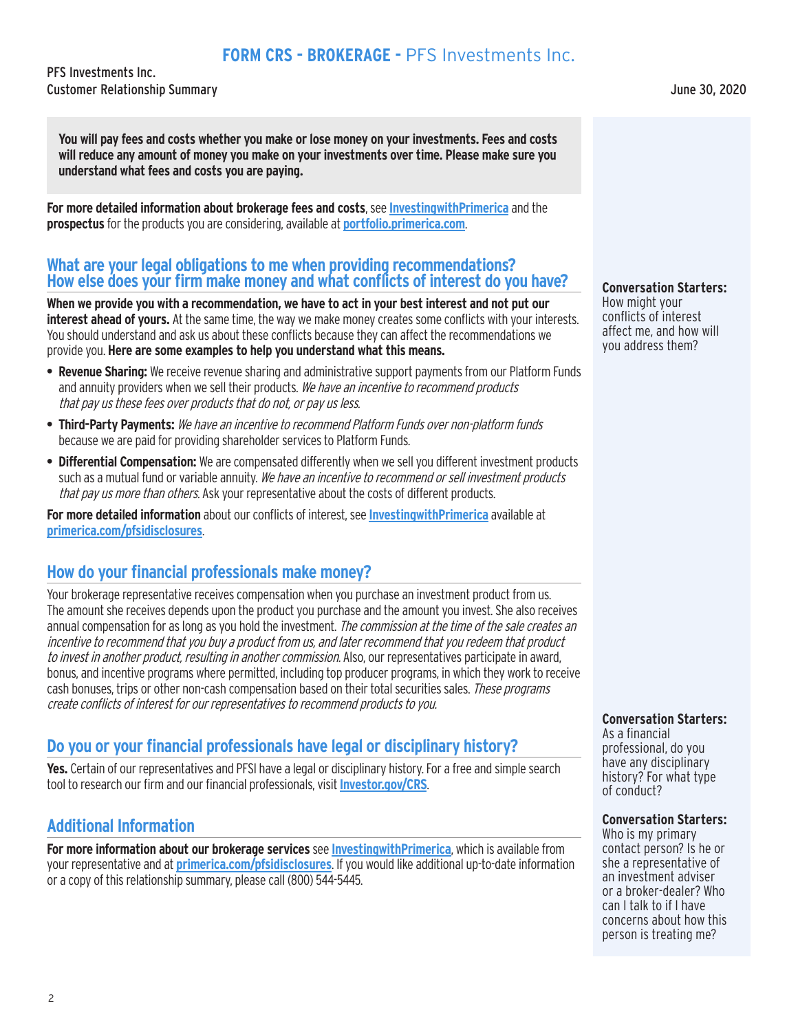## **FORM CRS - BROKERAGE -** PFS Investments Inc.

PFS Investments Inc. Customer Relationship Summary June 30, 2020

**You will pay fees and costs whether you make or lose money on your investments. Fees and costs will reduce any amount of money you make on your investments over time. Please make sure you understand what fees and costs you are paying.**

**For more detailed information about brokerage fees and costs**, see **InvestingwithPrimerica** and the **prospectus** for the products you are considering, available at **portfolio.primerica.com**.

### **What are your legal obligations to me when providing recommendations? How else does your firm make money and what conflicts of interest do you have?**

**When we provide you with a recommendation, we have to act in your best interest and not put our interest ahead of yours.** At the same time, the way we make money creates some conflicts with your interests. You should understand and ask us about these conflicts because they can affect the recommendations we provide you. **Here are some examples to help you understand what this means.**

- **• Revenue Sharing:** We receive revenue sharing and administrative support payments from our Platform Funds and annuity providers when we sell their products. We have an incentive to recommend products that pay us these fees over products that do not, or pay us less.
- **• Third-Party Payments:** We have an incentive to recommend Platform Funds over non-platform funds because we are paid for providing shareholder services to Platform Funds.
- **• Differential Compensation:** We are compensated differently when we sell you different investment products such as a mutual fund or variable annuity. We have an incentive to recommend or sell investment products that pay us more than others. Ask your representative about the costs of different products.

**For more detailed information** about our conflicts of interest, see **InvestingwithPrimerica** available at **primerica.com/pfsidisclosures**.

## **How do your financial professionals make money?**

Your brokerage representative receives compensation when you purchase an investment product from us. The amount she receives depends upon the product you purchase and the amount you invest. She also receives annual compensation for as long as you hold the investment. *The commission at the time of the sale creates an* incentive to recommend that you buy a product from us, and later recommend that you redeem that product to invest in another product, resulting in another commission. Also, our representatives participate in award, bonus, and incentive programs where permitted, including top producer programs, in which they work to receive cash bonuses, trips or other non-cash compensation based on their total securities sales. These programs create conflicts of interest for our representatives to recommend products to you.

## **Do you or your financial professionals have legal or disciplinary history?**

**Yes.** Certain of our representatives and PFSI have a legal or disciplinary history. For a free and simple search tool to research our firm and our financial professionals, visit **Investor.gov/CRS**.

## **Additional Information**

**For more information about our brokerage services** see **InvestingwithPrimerica**, which is available from your representative and at **primerica.com/pfsidisclosures**. If you would like additional up-to-date information or a copy of this relationship summary, please call (800) 544-5445.

**Conversation Starters:**

How might your conflicts of interest affect me, and how will you address them?

#### **Conversation Starters:**

As a financial professional, do you have any disciplinary history? For what type of conduct?

#### **Conversation Starters:**

Who is my primary contact person? Is he or she a representative of an investment adviser or a broker-dealer? Who can I talk to if I have concerns about how this person is treating me?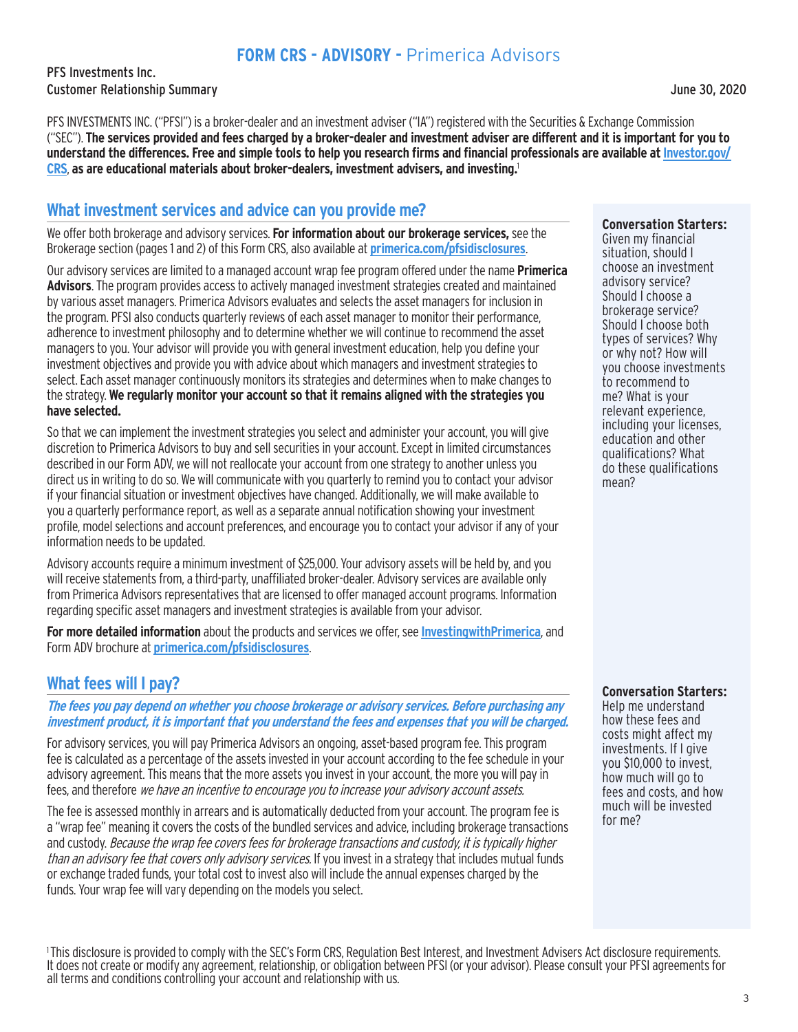# **FORM CRS - ADVISORY -** Primerica Advisors

PFS Investments Inc. Customer Relationship Summary June 30, 2020

PFS INVESTMENTS INC. ("PFSI") is a broker-dealer and an investment adviser ("IA") registered with the Securities & Exchange Commission ("SEC"). **The services provided and fees charged by a broker-dealer and investment adviser are different and it is important for you to**  understand the differences. Free and simple tools to help you research firms and financial professionals are available at Investor.gov/ **CRS**, **as are educational materials about broker-dealers, investment advisers, and investing.**<sup>1</sup>

### **What investment services and advice can you provide me?**

We offer both brokerage and advisory services. **For information about our brokerage services,** see the Brokerage section (pages 1 and 2) of this Form CRS, also available at **primerica.com/pfsidisclosures**.

Our advisory services are limited to a managed account wrap fee program offered under the name **Primerica Advisors**. The program provides access to actively managed investment strategies created and maintained by various asset managers. Primerica Advisors evaluates and selects the asset managers for inclusion in the program. PFSI also conducts quarterly reviews of each asset manager to monitor their performance, adherence to investment philosophy and to determine whether we will continue to recommend the asset managers to you. Your advisor will provide you with general investment education, help you define your investment objectives and provide you with advice about which managers and investment strategies to select. Each asset manager continuously monitors its strategies and determines when to make changes to the strategy. **We regularly monitor your account so that it remains aligned with the strategies you have selected.**

So that we can implement the investment strategies you select and administer your account, you will give discretion to Primerica Advisors to buy and sell securities in your account. Except in limited circumstances described in our Form ADV, we will not reallocate your account from one strategy to another unless you direct us in writing to do so. We will communicate with you quarterly to remind you to contact your advisor if your financial situation or investment objectives have changed. Additionally, we will make available to you a quarterly performance report, as well as a separate annual notification showing your investment profile, model selections and account preferences, and encourage you to contact your advisor if any of your information needs to be updated.

Advisory accounts require a minimum investment of \$25,000. Your advisory assets will be held by, and you will receive statements from, a third-party, unaffiliated broker-dealer. Advisory services are available only from Primerica Advisors representatives that are licensed to offer managed account programs. Information regarding specific asset managers and investment strategies is available from your advisor.

**For more detailed information** about the products and services we offer, see **InvestingwithPrimerica**, and Form ADV brochure at **primerica.com/pfsidisclosures**.

## **What fees will I pay?**

**The fees you pay depend on whether you choose brokerage or advisory services. Before purchasing any investment product, it is important that you understand the fees and expenses that you will be charged.**

For advisory services, you will pay Primerica Advisors an ongoing, asset-based program fee. This program fee is calculated as a percentage of the assets invested in your account according to the fee schedule in your advisory agreement. This means that the more assets you invest in your account, the more you will pay in fees, and therefore we have an incentive to encourage you to increase your advisory account assets.

The fee is assessed monthly in arrears and is automatically deducted from your account. The program fee is a "wrap fee" meaning it covers the costs of the bundled services and advice, including brokerage transactions and custody. Because the wrap fee covers fees for brokerage transactions and custody, it is typically higher than an advisory fee that covers only advisory services. If you invest in a strategy that includes mutual funds or exchange traded funds, your total cost to invest also will include the annual expenses charged by the funds. Your wrap fee will vary depending on the models you select.

**Conversation Starters:**

Given my financial situation, should I choose an investment advisory service? Should I choose a brokerage service? Should I choose both types of services? Why or why not? How will you choose investments to recommend to me? What is your relevant experience, including your licenses, education and other qualifications? What do these qualifications mean?

**Conversation Starters:** 

Help me understand how these fees and costs might affect my investments. If I give you \$10,000 to invest, how much will go to fees and costs, and how much will be invested for me?

<sup>1</sup>This disclosure is provided to comply with the SEC's Form CRS, Regulation Best Interest, and Investment Advisers Act disclosure requirements. It does not create or modify any agreement, relationship, or obligation between PFSI (or your advisor). Please consult your PFSI agreements for all terms and conditions controlling your account and relationship with us.